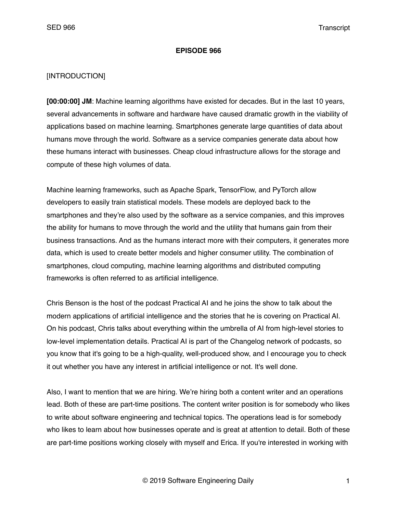#### **EPISODE 966**

#### [INTRODUCTION]

**[00:00:00] JM**: Machine learning algorithms have existed for decades. But in the last 10 years, several advancements in software and hardware have caused dramatic growth in the viability of applications based on machine learning. Smartphones generate large quantities of data about humans move through the world. Software as a service companies generate data about how these humans interact with businesses. Cheap cloud infrastructure allows for the storage and compute of these high volumes of data.

Machine learning frameworks, such as Apache Spark, TensorFlow, and PyTorch allow developers to easily train statistical models. These models are deployed back to the smartphones and they're also used by the software as a service companies, and this improves the ability for humans to move through the world and the utility that humans gain from their business transactions. And as the humans interact more with their computers, it generates more data, which is used to create better models and higher consumer utility. The combination of smartphones, cloud computing, machine learning algorithms and distributed computing frameworks is often referred to as artificial intelligence.

Chris Benson is the host of the podcast Practical AI and he joins the show to talk about the modern applications of artificial intelligence and the stories that he is covering on Practical AI. On his podcast, Chris talks about everything within the umbrella of AI from high-level stories to low-level implementation details. Practical AI is part of the Changelog network of podcasts, so you know that it's going to be a high-quality, well-produced show, and I encourage you to check it out whether you have any interest in artificial intelligence or not. It's well done.

Also, I want to mention that we are hiring. We're hiring both a content writer and an operations lead. Both of these are part-time positions. The content writer position is for somebody who likes to write about software engineering and technical topics. The operations lead is for somebody who likes to learn about how businesses operate and is great at attention to detail. Both of these are part-time positions working closely with myself and Erica. If you're interested in working with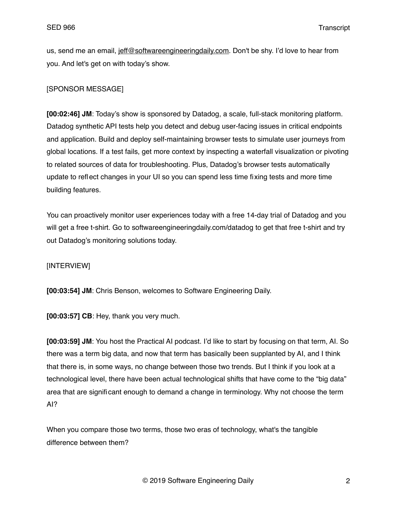us, send me an email, [jeff@softwareengineeringdaily.com](mailto:jeff@softwareengineeringdaily.com). Don't be shy. I'd love to hear from you. And let's get on with today's show.

# [SPONSOR MESSAGE]

**[00:02:46] JM**: Today's show is sponsored by Datadog, a scale, full-stack monitoring platform. Datadog synthetic API tests help you detect and debug user-facing issues in critical endpoints and application. Build and deploy self-maintaining browser tests to simulate user journeys from global locations. If a test fails, get more context by inspecting a waterfall visualization or pivoting to related sources of data for troubleshooting. Plus, Datadog's browser tests automatically update to reflect changes in your UI so you can spend less time fixing tests and more time building features.

You can proactively monitor user experiences today with a free 14-day trial of Datadog and you will get a free t-shirt. Go to softwareengineeringdaily.com/datadog to get that free t-shirt and try out Datadog's monitoring solutions today.

### [INTERVIEW]

**[00:03:54] JM**: Chris Benson, welcomes to Software Engineering Daily.

**[00:03:57] CB**: Hey, thank you very much.

**[00:03:59] JM**: You host the Practical AI podcast. I'd like to start by focusing on that term, AI. So there was a term big data, and now that term has basically been supplanted by AI, and I think that there is, in some ways, no change between those two trends. But I think if you look at a technological level, there have been actual technological shifts that have come to the "big data" area that are significant enough to demand a change in terminology. Why not choose the term AI?

When you compare those two terms, those two eras of technology, what's the tangible difference between them?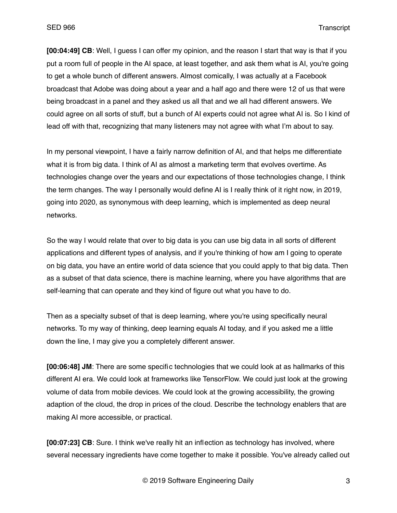**[00:04:49] CB**: Well, I guess I can offer my opinion, and the reason I start that way is that if you put a room full of people in the AI space, at least together, and ask them what is AI, you're going to get a whole bunch of different answers. Almost comically, I was actually at a Facebook broadcast that Adobe was doing about a year and a half ago and there were 12 of us that were being broadcast in a panel and they asked us all that and we all had different answers. We could agree on all sorts of stuff, but a bunch of AI experts could not agree what AI is. So I kind of lead off with that, recognizing that many listeners may not agree with what I'm about to say.

In my personal viewpoint, I have a fairly narrow definition of AI, and that helps me differentiate what it is from big data. I think of AI as almost a marketing term that evolves overtime. As technologies change over the years and our expectations of those technologies change, I think the term changes. The way I personally would define AI is I really think of it right now, in 2019, going into 2020, as synonymous with deep learning, which is implemented as deep neural networks.

So the way I would relate that over to big data is you can use big data in all sorts of different applications and different types of analysis, and if you're thinking of how am I going to operate on big data, you have an entire world of data science that you could apply to that big data. Then as a subset of that data science, there is machine learning, where you have algorithms that are self-learning that can operate and they kind of figure out what you have to do.

Then as a specialty subset of that is deep learning, where you're using specifically neural networks. To my way of thinking, deep learning equals AI today, and if you asked me a little down the line, I may give you a completely different answer.

**[00:06:48] JM**: There are some specific technologies that we could look at as hallmarks of this different AI era. We could look at frameworks like TensorFlow. We could just look at the growing volume of data from mobile devices. We could look at the growing accessibility, the growing adaption of the cloud, the drop in prices of the cloud. Describe the technology enablers that are making AI more accessible, or practical.

**[00:07:23] CB**: Sure. I think we've really hit an inflection as technology has involved, where several necessary ingredients have come together to make it possible. You've already called out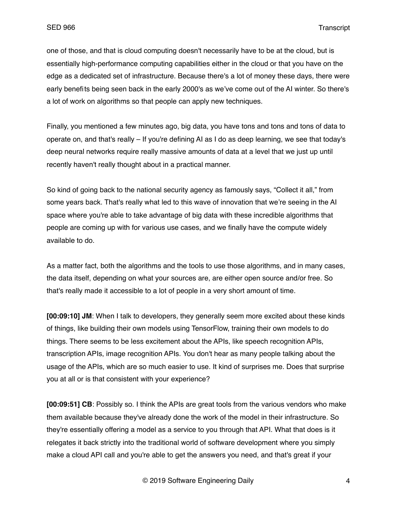one of those, and that is cloud computing doesn't necessarily have to be at the cloud, but is essentially high-performance computing capabilities either in the cloud or that you have on the edge as a dedicated set of infrastructure. Because there's a lot of money these days, there were early benefits being seen back in the early 2000's as we've come out of the AI winter. So there's a lot of work on algorithms so that people can apply new techniques.

Finally, you mentioned a few minutes ago, big data, you have tons and tons and tons of data to operate on, and that's really – If you're defining AI as I do as deep learning, we see that today's deep neural networks require really massive amounts of data at a level that we just up until recently haven't really thought about in a practical manner.

So kind of going back to the national security agency as famously says, "Collect it all," from some years back. That's really what led to this wave of innovation that we're seeing in the AI space where you're able to take advantage of big data with these incredible algorithms that people are coming up with for various use cases, and we finally have the compute widely available to do.

As a matter fact, both the algorithms and the tools to use those algorithms, and in many cases, the data itself, depending on what your sources are, are either open source and/or free. So that's really made it accessible to a lot of people in a very short amount of time.

**[00:09:10] JM**: When I talk to developers, they generally seem more excited about these kinds of things, like building their own models using TensorFlow, training their own models to do things. There seems to be less excitement about the APIs, like speech recognition APIs, transcription APIs, image recognition APIs. You don't hear as many people talking about the usage of the APIs, which are so much easier to use. It kind of surprises me. Does that surprise you at all or is that consistent with your experience?

**[00:09:51] CB**: Possibly so. I think the APIs are great tools from the various vendors who make them available because they've already done the work of the model in their infrastructure. So they're essentially offering a model as a service to you through that API. What that does is it relegates it back strictly into the traditional world of software development where you simply make a cloud API call and you're able to get the answers you need, and that's great if your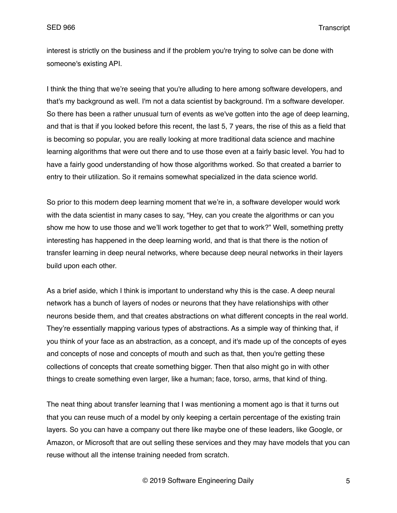interest is strictly on the business and if the problem you're trying to solve can be done with someone's existing API.

I think the thing that we're seeing that you're alluding to here among software developers, and that's my background as well. I'm not a data scientist by background. I'm a software developer. So there has been a rather unusual turn of events as we've gotten into the age of deep learning, and that is that if you looked before this recent, the last 5, 7 years, the rise of this as a field that is becoming so popular, you are really looking at more traditional data science and machine learning algorithms that were out there and to use those even at a fairly basic level. You had to have a fairly good understanding of how those algorithms worked. So that created a barrier to entry to their utilization. So it remains somewhat specialized in the data science world.

So prior to this modern deep learning moment that we're in, a software developer would work with the data scientist in many cases to say, "Hey, can you create the algorithms or can you show me how to use those and we'll work together to get that to work?" Well, something pretty interesting has happened in the deep learning world, and that is that there is the notion of transfer learning in deep neural networks, where because deep neural networks in their layers build upon each other.

As a brief aside, which I think is important to understand why this is the case. A deep neural network has a bunch of layers of nodes or neurons that they have relationships with other neurons beside them, and that creates abstractions on what different concepts in the real world. They're essentially mapping various types of abstractions. As a simple way of thinking that, if you think of your face as an abstraction, as a concept, and it's made up of the concepts of eyes and concepts of nose and concepts of mouth and such as that, then you're getting these collections of concepts that create something bigger. Then that also might go in with other things to create something even larger, like a human; face, torso, arms, that kind of thing.

The neat thing about transfer learning that I was mentioning a moment ago is that it turns out that you can reuse much of a model by only keeping a certain percentage of the existing train layers. So you can have a company out there like maybe one of these leaders, like Google, or Amazon, or Microsoft that are out selling these services and they may have models that you can reuse without all the intense training needed from scratch.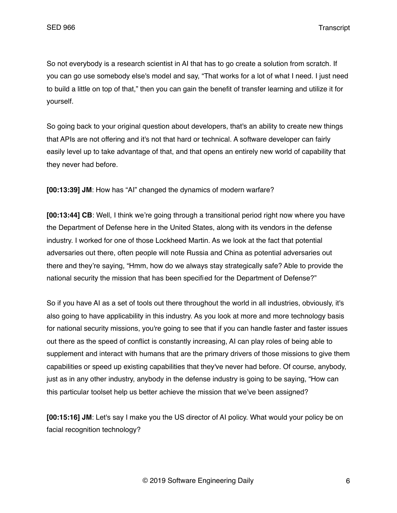So not everybody is a research scientist in AI that has to go create a solution from scratch. If you can go use somebody else's model and say, "That works for a lot of what I need. I just need to build a little on top of that," then you can gain the benefit of transfer learning and utilize it for yourself.

So going back to your original question about developers, that's an ability to create new things that APIs are not offering and it's not that hard or technical. A software developer can fairly easily level up to take advantage of that, and that opens an entirely new world of capability that they never had before.

**[00:13:39] JM**: How has "AI" changed the dynamics of modern warfare?

**[00:13:44] CB**: Well, I think we're going through a transitional period right now where you have the Department of Defense here in the United States, along with its vendors in the defense industry. I worked for one of those Lockheed Martin. As we look at the fact that potential adversaries out there, often people will note Russia and China as potential adversaries out there and they're saying, "Hmm, how do we always stay strategically safe? Able to provide the national security the mission that has been specified for the Department of Defense?"

So if you have AI as a set of tools out there throughout the world in all industries, obviously, it's also going to have applicability in this industry. As you look at more and more technology basis for national security missions, you're going to see that if you can handle faster and faster issues out there as the speed of conflict is constantly increasing, AI can play roles of being able to supplement and interact with humans that are the primary drivers of those missions to give them capabilities or speed up existing capabilities that they've never had before. Of course, anybody, just as in any other industry, anybody in the defense industry is going to be saying, "How can this particular toolset help us better achieve the mission that we've been assigned?

**[00:15:16] JM**: Let's say I make you the US director of AI policy. What would your policy be on facial recognition technology?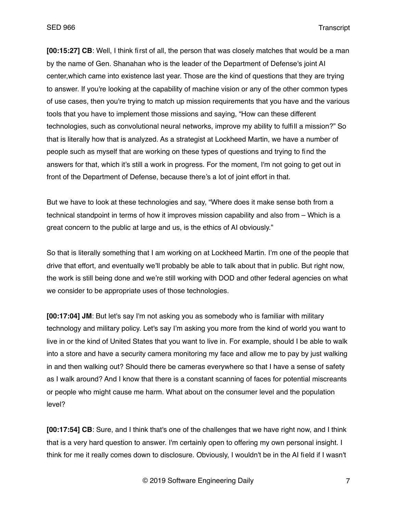**[00:15:27] CB**: Well, I think first of all, the person that was closely matches that would be a man by the name of Gen. Shanahan who is the leader of the Department of Defense's joint AI center,which came into existence last year. Those are the kind of questions that they are trying to answer. If you're looking at the capability of machine vision or any of the other common types of use cases, then you're trying to match up mission requirements that you have and the various tools that you have to implement those missions and saying, "How can these different technologies, such as convolutional neural networks, improve my ability to fulfill a mission?" So that is literally how that is analyzed. As a strategist at Lockheed Martin, we have a number of people such as myself that are working on these types of questions and trying to find the answers for that, which it's still a work in progress. For the moment, I'm not going to get out in front of the Department of Defense, because there's a lot of joint effort in that.

But we have to look at these technologies and say, "Where does it make sense both from a technical standpoint in terms of how it improves mission capability and also from – Which is a great concern to the public at large and us, is the ethics of AI obviously."

So that is literally something that I am working on at Lockheed Martin. I'm one of the people that drive that effort, and eventually we'll probably be able to talk about that in public. But right now, the work is still being done and we're still working with DOD and other federal agencies on what we consider to be appropriate uses of those technologies.

**[00:17:04] JM**: But let's say I'm not asking you as somebody who is familiar with military technology and military policy. Let's say I'm asking you more from the kind of world you want to live in or the kind of United States that you want to live in. For example, should I be able to walk into a store and have a security camera monitoring my face and allow me to pay by just walking in and then walking out? Should there be cameras everywhere so that I have a sense of safety as I walk around? And I know that there is a constant scanning of faces for potential miscreants or people who might cause me harm. What about on the consumer level and the population level?

**[00:17:54] CB**: Sure, and I think that's one of the challenges that we have right now, and I think that is a very hard question to answer. I'm certainly open to offering my own personal insight. I think for me it really comes down to disclosure. Obviously, I wouldn't be in the AI field if I wasn't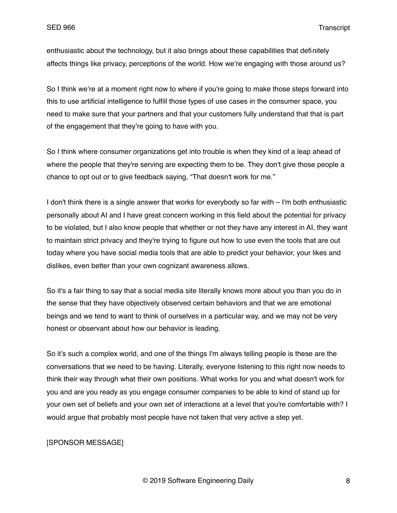enthusiastic about the technology, but it also brings about these capabilities that definitely affects things like privacy, perceptions of the world. How we're engaging with those around us?

So I think we're at a moment right now to where if you're going to make those steps forward into this to use artificial intelligence to fulfill those types of use cases in the consumer space, you need to make sure that your partners and that your customers fully understand that that is part of the engagement that they're going to have with you.

So I think where consumer organizations get into trouble is when they kind of a leap ahead of where the people that they're serving are expecting them to be. They don't give those people a chance to opt out or to give feedback saying, "That doesn't work for me."

I don't think there is a single answer that works for everybody so far with – I'm both enthusiastic personally about AI and I have great concern working in this field about the potential for privacy to be violated, but I also know people that whether or not they have any interest in AI, they want to maintain strict privacy and they're trying to figure out how to use even the tools that are out today where you have social media tools that are able to predict your behavior, your likes and dislikes, even better than your own cognizant awareness allows.

So it's a fair thing to say that a social media site literally knows more about you than you do in the sense that they have objectively observed certain behaviors and that we are emotional beings and we tend to want to think of ourselves in a particular way, and we may not be very honest or observant about how our behavior is leading.

So it's such a complex world, and one of the things I'm always telling people is these are the conversations that we need to be having. Literally, everyone listening to this right now needs to think their way through what their own positions. What works for you and what doesn't work for you and are you ready as you engage consumer companies to be able to kind of stand up for your own set of beliefs and your own set of interactions at a level that you're comfortable with? I would argue that probably most people have not taken that very active a step yet.

## [SPONSOR MESSAGE]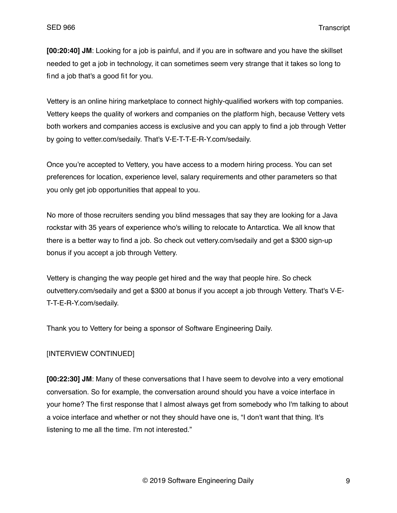**[00:20:40] JM**: Looking for a job is painful, and if you are in software and you have the skillset needed to get a job in technology, it can sometimes seem very strange that it takes so long to find a job that's a good fit for you.

Vettery is an online hiring marketplace to connect highly-qualified workers with top companies. Vettery keeps the quality of workers and companies on the platform high, because Vettery vets both workers and companies access is exclusive and you can apply to find a job through Vetter by going to vetter.com/sedaily. That's V-E-T-T-E-R-Y.com/sedaily.

Once you're accepted to Vettery, you have access to a modern hiring process. You can set preferences for location, experience level, salary requirements and other parameters so that you only get job opportunities that appeal to you.

No more of those recruiters sending you blind messages that say they are looking for a Java rockstar with 35 years of experience who's willing to relocate to Antarctica. We all know that there is a better way to find a job. So check out vettery.com/sedaily and get a \$300 sign-up bonus if you accept a job through Vettery.

Vettery is changing the way people get hired and the way that people hire. So check outvettery.com/sedaily and get a \$300 at bonus if you accept a job through Vettery. That's V-E-T-T-E-R-Y.com/sedaily.

Thank you to Vettery for being a sponsor of Software Engineering Daily.

# [INTERVIEW CONTINUED]

**[00:22:30] JM**: Many of these conversations that I have seem to devolve into a very emotional conversation. So for example, the conversation around should you have a voice interface in your home? The first response that I almost always get from somebody who I'm talking to about a voice interface and whether or not they should have one is, "I don't want that thing. It's listening to me all the time. I'm not interested."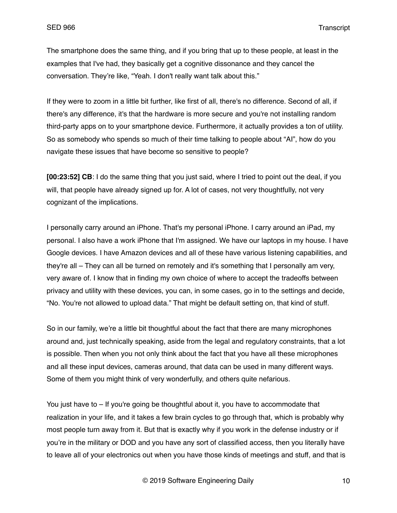The smartphone does the same thing, and if you bring that up to these people, at least in the examples that I've had, they basically get a cognitive dissonance and they cancel the conversation. They're like, "Yeah. I don't really want talk about this."

If they were to zoom in a little bit further, like first of all, there's no difference. Second of all, if there's any difference, it's that the hardware is more secure and you're not installing random third-party apps on to your smartphone device. Furthermore, it actually provides a ton of utility. So as somebody who spends so much of their time talking to people about "AI", how do you navigate these issues that have become so sensitive to people?

**[00:23:52] CB**: I do the same thing that you just said, where I tried to point out the deal, if you will, that people have already signed up for. A lot of cases, not very thoughtfully, not very cognizant of the implications.

I personally carry around an iPhone. That's my personal iPhone. I carry around an iPad, my personal. I also have a work iPhone that I'm assigned. We have our laptops in my house. I have Google devices. I have Amazon devices and all of these have various listening capabilities, and they're all – They can all be turned on remotely and it's something that I personally am very, very aware of. I know that in finding my own choice of where to accept the tradeoffs between privacy and utility with these devices, you can, in some cases, go in to the settings and decide, "No. You're not allowed to upload data." That might be default setting on, that kind of stuff.

So in our family, we're a little bit thoughtful about the fact that there are many microphones around and, just technically speaking, aside from the legal and regulatory constraints, that a lot is possible. Then when you not only think about the fact that you have all these microphones and all these input devices, cameras around, that data can be used in many different ways. Some of them you might think of very wonderfully, and others quite nefarious.

You just have to – If you're going be thoughtful about it, you have to accommodate that realization in your life, and it takes a few brain cycles to go through that, which is probably why most people turn away from it. But that is exactly why if you work in the defense industry or if you're in the military or DOD and you have any sort of classified access, then you literally have to leave all of your electronics out when you have those kinds of meetings and stuff, and that is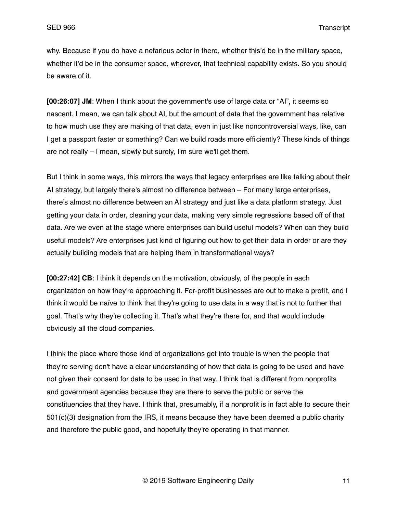why. Because if you do have a nefarious actor in there, whether this'd be in the military space, whether it'd be in the consumer space, wherever, that technical capability exists. So you should be aware of it.

**[00:26:07] JM**: When I think about the government's use of large data or "AI", it seems so nascent. I mean, we can talk about AI, but the amount of data that the government has relative to how much use they are making of that data, even in just like noncontroversial ways, like, can I get a passport faster or something? Can we build roads more efficiently? These kinds of things are not really – I mean, slowly but surely, I'm sure we'll get them.

But I think in some ways, this mirrors the ways that legacy enterprises are like talking about their AI strategy, but largely there's almost no difference between – For many large enterprises, there's almost no difference between an AI strategy and just like a data platform strategy. Just getting your data in order, cleaning your data, making very simple regressions based off of that data. Are we even at the stage where enterprises can build useful models? When can they build useful models? Are enterprises just kind of figuring out how to get their data in order or are they actually building models that are helping them in transformational ways?

**[00:27:42] CB**: I think it depends on the motivation, obviously, of the people in each organization on how they're approaching it. For-profit businesses are out to make a profit, and I think it would be naïve to think that they're going to use data in a way that is not to further that goal. That's why they're collecting it. That's what they're there for, and that would include obviously all the cloud companies.

I think the place where those kind of organizations get into trouble is when the people that they're serving don't have a clear understanding of how that data is going to be used and have not given their consent for data to be used in that way. I think that is different from nonprofits and government agencies because they are there to serve the public or serve the constituencies that they have. I think that, presumably, if a nonprofit is in fact able to secure their 501(c)(3) designation from the IRS, it means because they have been deemed a public charity and therefore the public good, and hopefully they're operating in that manner.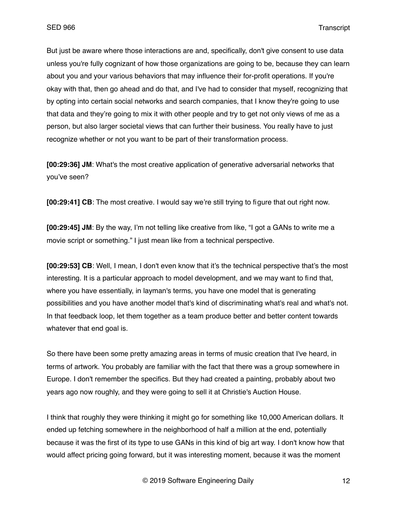But just be aware where those interactions are and, specifically, don't give consent to use data unless you're fully cognizant of how those organizations are going to be, because they can learn about you and your various behaviors that may influence their for-profit operations. If you're okay with that, then go ahead and do that, and I've had to consider that myself, recognizing that by opting into certain social networks and search companies, that I know they're going to use that data and they're going to mix it with other people and try to get not only views of me as a person, but also larger societal views that can further their business. You really have to just recognize whether or not you want to be part of their transformation process.

**[00:29:36] JM**: What's the most creative application of generative adversarial networks that you've seen?

**[00:29:41] CB**: The most creative. I would say we're still trying to figure that out right now.

**[00:29:45] JM**: By the way, I'm not telling like creative from like, "I got a GANs to write me a movie script or something." I just mean like from a technical perspective.

**[00:29:53] CB**: Well, I mean, I don't even know that it's the technical perspective that's the most interesting. It is a particular approach to model development, and we may want to find that, where you have essentially, in layman's terms, you have one model that is generating possibilities and you have another model that's kind of discriminating what's real and what's not. In that feedback loop, let them together as a team produce better and better content towards whatever that end goal is.

So there have been some pretty amazing areas in terms of music creation that I've heard, in terms of artwork. You probably are familiar with the fact that there was a group somewhere in Europe. I don't remember the specifics. But they had created a painting, probably about two years ago now roughly, and they were going to sell it at Christie's Auction House.

I think that roughly they were thinking it might go for something like 10,000 American dollars. It ended up fetching somewhere in the neighborhood of half a million at the end, potentially because it was the first of its type to use GANs in this kind of big art way. I don't know how that would affect pricing going forward, but it was interesting moment, because it was the moment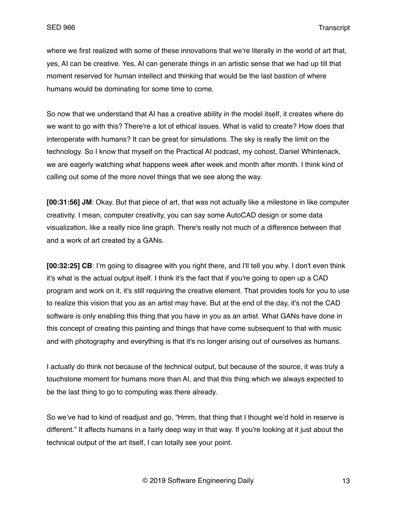where we first realized with some of these innovations that we're literally in the world of art that, yes, AI can be creative. Yes, AI can generate things in an artistic sense that we had up till that moment reserved for human intellect and thinking that would be the last bastion of where humans would be dominating for some time to come.

So now that we understand that AI has a creative ability in the model itself, it creates where do we want to go with this? There're a lot of ethical issues. What is valid to create? How does that interoperate with humans? It can be great for simulations. The sky is really the limit on the technology. So I know that myself on the Practical AI podcast, my cohost, Daniel Whintenack, we are eagerly watching what happens week after week and month after month. I think kind of calling out some of the more novel things that we see along the way.

**[00:31:56] JM**: Okay. But that piece of art, that was not actually like a milestone in like computer creativity. I mean, computer creativity, you can say some AutoCAD design or some data visualization, like a really nice line graph. There's really not much of a difference between that and a work of art created by a GANs.

**[00:32:25] CB**: I'm going to disagree with you right there, and I'll tell you why. I don't even think it's what is the actual output itself. I think it's the fact that if you're going to open up a CAD program and work on it, it's still requiring the creative element. That provides tools for you to use to realize this vision that you as an artist may have. But at the end of the day, it's not the CAD software is only enabling this thing that you have in you as an artist. What GANs have done in this concept of creating this painting and things that have come subsequent to that with music and with photography and everything is that it's no longer arising out of ourselves as humans.

I actually do think not because of the technical output, but because of the source, it was truly a touchstone moment for humans more than AI, and that this thing which we always expected to be the last thing to go to computing was there already.

So we've had to kind of readjust and go, "Hmm, that thing that I thought we'd hold in reserve is different." It affects humans in a fairly deep way in that way. If you're looking at it just about the technical output of the art itself, I can totally see your point.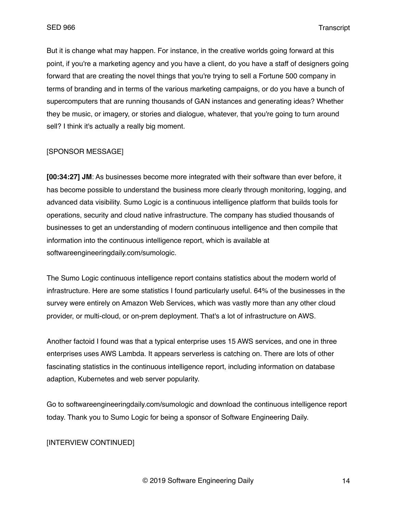But it is change what may happen. For instance, in the creative worlds going forward at this point, if you're a marketing agency and you have a client, do you have a staff of designers going forward that are creating the novel things that you're trying to sell a Fortune 500 company in terms of branding and in terms of the various marketing campaigns, or do you have a bunch of supercomputers that are running thousands of GAN instances and generating ideas? Whether they be music, or imagery, or stories and dialogue, whatever, that you're going to turn around sell? I think it's actually a really big moment.

## [SPONSOR MESSAGE]

**[00:34:27] JM**: As businesses become more integrated with their software than ever before, it has become possible to understand the business more clearly through monitoring, logging, and advanced data visibility. Sumo Logic is a continuous intelligence platform that builds tools for operations, security and cloud native infrastructure. The company has studied thousands of businesses to get an understanding of modern continuous intelligence and then compile that information into the continuous intelligence report, which is available at softwareengineeringdaily.com/sumologic.

The Sumo Logic continuous intelligence report contains statistics about the modern world of infrastructure. Here are some statistics I found particularly useful. 64% of the businesses in the survey were entirely on Amazon Web Services, which was vastly more than any other cloud provider, or multi-cloud, or on-prem deployment. That's a lot of infrastructure on AWS.

Another factoid I found was that a typical enterprise uses 15 AWS services, and one in three enterprises uses AWS Lambda. It appears serverless is catching on. There are lots of other fascinating statistics in the continuous intelligence report, including information on database adaption, Kubernetes and web server popularity.

Go to softwareengineeringdaily.com/sumologic and download the continuous intelligence report today. Thank you to Sumo Logic for being a sponsor of Software Engineering Daily.

# [INTERVIEW CONTINUED]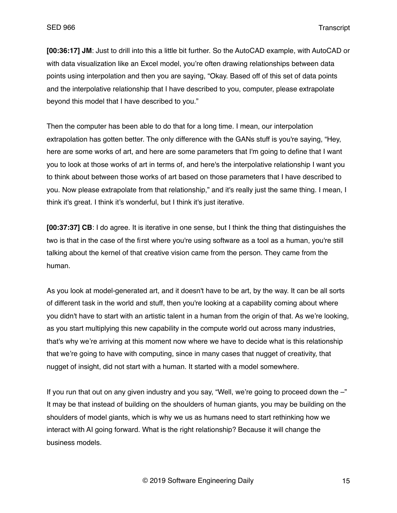**[00:36:17] JM**: Just to drill into this a little bit further. So the AutoCAD example, with AutoCAD or with data visualization like an Excel model, you're often drawing relationships between data points using interpolation and then you are saying, "Okay. Based off of this set of data points and the interpolative relationship that I have described to you, computer, please extrapolate beyond this model that I have described to you."

Then the computer has been able to do that for a long time. I mean, our interpolation extrapolation has gotten better. The only difference with the GANs stuff is you're saying, "Hey, here are some works of art, and here are some parameters that I'm going to define that I want you to look at those works of art in terms of, and here's the interpolative relationship I want you to think about between those works of art based on those parameters that I have described to you. Now please extrapolate from that relationship," and it's really just the same thing. I mean, I think it's great. I think it's wonderful, but I think it's just iterative.

**[00:37:37] CB**: I do agree. It is iterative in one sense, but I think the thing that distinguishes the two is that in the case of the first where you're using software as a tool as a human, you're still talking about the kernel of that creative vision came from the person. They came from the human.

As you look at model-generated art, and it doesn't have to be art, by the way. It can be all sorts of different task in the world and stuff, then you're looking at a capability coming about where you didn't have to start with an artistic talent in a human from the origin of that. As we're looking, as you start multiplying this new capability in the compute world out across many industries, that's why we're arriving at this moment now where we have to decide what is this relationship that we're going to have with computing, since in many cases that nugget of creativity, that nugget of insight, did not start with a human. It started with a model somewhere.

If you run that out on any given industry and you say, "Well, we're going to proceed down the –" It may be that instead of building on the shoulders of human giants, you may be building on the shoulders of model giants, which is why we us as humans need to start rethinking how we interact with AI going forward. What is the right relationship? Because it will change the business models.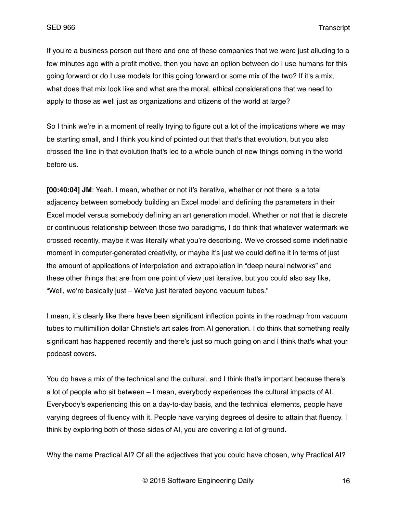If you're a business person out there and one of these companies that we were just alluding to a few minutes ago with a profit motive, then you have an option between do I use humans for this going forward or do I use models for this going forward or some mix of the two? If it's a mix, what does that mix look like and what are the moral, ethical considerations that we need to apply to those as well just as organizations and citizens of the world at large?

So I think we're in a moment of really trying to figure out a lot of the implications where we may be starting small, and I think you kind of pointed out that that's that evolution, but you also crossed the line in that evolution that's led to a whole bunch of new things coming in the world before us.

**[00:40:04] JM**: Yeah. I mean, whether or not it's iterative, whether or not there is a total adjacency between somebody building an Excel model and defining the parameters in their Excel model versus somebody defining an art generation model. Whether or not that is discrete or continuous relationship between those two paradigms, I do think that whatever watermark we crossed recently, maybe it was literally what you're describing. We've crossed some indefinable moment in computer-generated creativity, or maybe it's just we could define it in terms of just the amount of applications of interpolation and extrapolation in "deep neural networks" and these other things that are from one point of view just iterative, but you could also say like, "Well, we're basically just – We've just iterated beyond vacuum tubes."

I mean, it's clearly like there have been significant inflection points in the roadmap from vacuum tubes to multimillion dollar Christie's art sales from AI generation. I do think that something really significant has happened recently and there's just so much going on and I think that's what your podcast covers.

You do have a mix of the technical and the cultural, and I think that's important because there's a lot of people who sit between – I mean, everybody experiences the cultural impacts of AI. Everybody's experiencing this on a day-to-day basis, and the technical elements, people have varying degrees of fluency with it. People have varying degrees of desire to attain that fluency. I think by exploring both of those sides of AI, you are covering a lot of ground.

Why the name Practical AI? Of all the adjectives that you could have chosen, why Practical AI?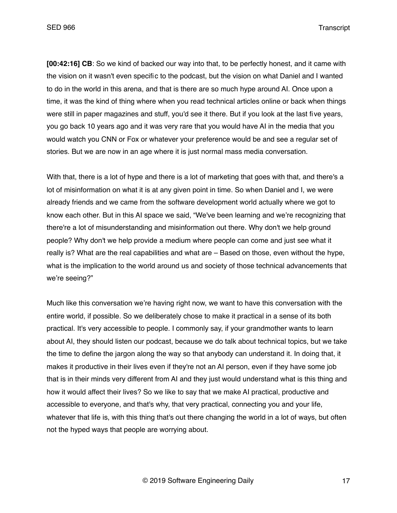**[00:42:16] CB**: So we kind of backed our way into that, to be perfectly honest, and it came with the vision on it wasn't even specific to the podcast, but the vision on what Daniel and I wanted to do in the world in this arena, and that is there are so much hype around AI. Once upon a time, it was the kind of thing where when you read technical articles online or back when things were still in paper magazines and stuff, you'd see it there. But if you look at the last five years, you go back 10 years ago and it was very rare that you would have AI in the media that you would watch you CNN or Fox or whatever your preference would be and see a regular set of stories. But we are now in an age where it is just normal mass media conversation.

With that, there is a lot of hype and there is a lot of marketing that goes with that, and there's a lot of misinformation on what it is at any given point in time. So when Daniel and I, we were already friends and we came from the software development world actually where we got to know each other. But in this AI space we said, "We've been learning and we're recognizing that there're a lot of misunderstanding and misinformation out there. Why don't we help ground people? Why don't we help provide a medium where people can come and just see what it really is? What are the real capabilities and what are – Based on those, even without the hype, what is the implication to the world around us and society of those technical advancements that we're seeing?"

Much like this conversation we're having right now, we want to have this conversation with the entire world, if possible. So we deliberately chose to make it practical in a sense of its both practical. It's very accessible to people. I commonly say, if your grandmother wants to learn about AI, they should listen our podcast, because we do talk about technical topics, but we take the time to define the jargon along the way so that anybody can understand it. In doing that, it makes it productive in their lives even if they're not an AI person, even if they have some job that is in their minds very different from AI and they just would understand what is this thing and how it would affect their lives? So we like to say that we make AI practical, productive and accessible to everyone, and that's why, that very practical, connecting you and your life, whatever that life is, with this thing that's out there changing the world in a lot of ways, but often not the hyped ways that people are worrying about.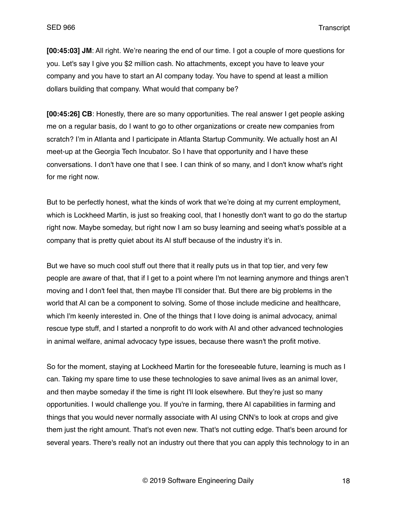**[00:45:03] JM**: All right. We're nearing the end of our time. I got a couple of more questions for you. Let's say I give you \$2 million cash. No attachments, except you have to leave your company and you have to start an AI company today. You have to spend at least a million dollars building that company. What would that company be?

**[00:45:26] CB**: Honestly, there are so many opportunities. The real answer I get people asking me on a regular basis, do I want to go to other organizations or create new companies from scratch? I'm in Atlanta and I participate in Atlanta Startup Community. We actually host an AI meet-up at the Georgia Tech Incubator. So I have that opportunity and I have these conversations. I don't have one that I see. I can think of so many, and I don't know what's right for me right now.

But to be perfectly honest, what the kinds of work that we're doing at my current employment, which is Lockheed Martin, is just so freaking cool, that I honestly don't want to go do the startup right now. Maybe someday, but right now I am so busy learning and seeing what's possible at a company that is pretty quiet about its AI stuff because of the industry it's in.

But we have so much cool stuff out there that it really puts us in that top tier, and very few people are aware of that, that if I get to a point where I'm not learning anymore and things aren't moving and I don't feel that, then maybe I'll consider that. But there are big problems in the world that AI can be a component to solving. Some of those include medicine and healthcare, which I'm keenly interested in. One of the things that I love doing is animal advocacy, animal rescue type stuff, and I started a nonprofit to do work with AI and other advanced technologies in animal welfare, animal advocacy type issues, because there wasn't the profit motive.

So for the moment, staying at Lockheed Martin for the foreseeable future, learning is much as I can. Taking my spare time to use these technologies to save animal lives as an animal lover, and then maybe someday if the time is right I'll look elsewhere. But they're just so many opportunities. I would challenge you. If you're in farming, there AI capabilities in farming and things that you would never normally associate with AI using CNN's to look at crops and give them just the right amount. That's not even new. That's not cutting edge. That's been around for several years. There's really not an industry out there that you can apply this technology to in an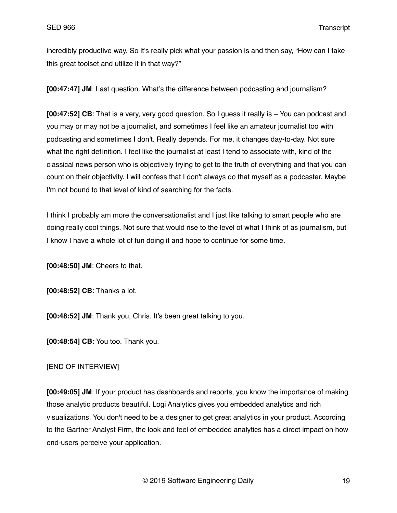incredibly productive way. So it's really pick what your passion is and then say, "How can I take this great toolset and utilize it in that way?"

**[00:47:47] JM**: Last question. What's the difference between podcasting and journalism?

**[00:47:52] CB**: That is a very, very good question. So I guess it really is – You can podcast and you may or may not be a journalist, and sometimes I feel like an amateur journalist too with podcasting and sometimes I don't. Really depends. For me, it changes day-to-day. Not sure what the right definition. I feel like the journalist at least I tend to associate with, kind of the classical news person who is objectively trying to get to the truth of everything and that you can count on their objectivity. I will confess that I don't always do that myself as a podcaster. Maybe I'm not bound to that level of kind of searching for the facts.

I think I probably am more the conversationalist and I just like talking to smart people who are doing really cool things. Not sure that would rise to the level of what I think of as journalism, but I know I have a whole lot of fun doing it and hope to continue for some time.

**[00:48:50] JM**: Cheers to that.

**[00:48:52] CB**: Thanks a lot.

**[00:48:52] JM**: Thank you, Chris. It's been great talking to you.

**[00:48:54] CB**: You too. Thank you.

### [END OF INTERVIEW]

**[00:49:05] JM**: If your product has dashboards and reports, you know the importance of making those analytic products beautiful. Logi Analytics gives you embedded analytics and rich visualizations. You don't need to be a designer to get great analytics in your product. According to the Gartner Analyst Firm, the look and feel of embedded analytics has a direct impact on how end-users perceive your application.